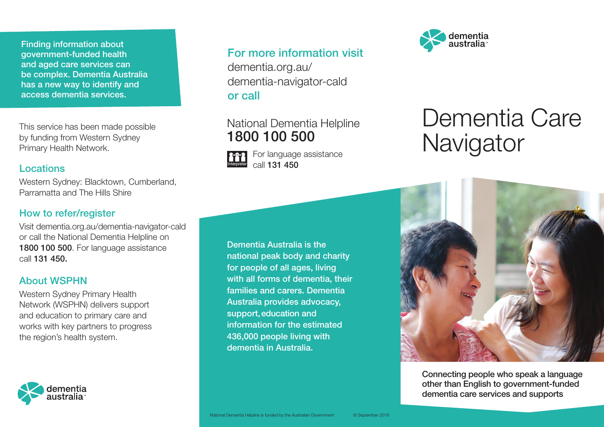Finding information about government-funded health and aged care services can be complex. Dementia Australia has a new way to identify and access dementia services.

This service has been made possible by funding from Western Sydney Primary Health Network.

#### Locations

Western Sydney: Blacktown, Cumberland, Parramatta and The Hills Shire

## How to refer/register

Visit dementia.org.au/dementia-navigator-cald or call the National Dementia Helpline on 1800 100 500. For language assistance call 131 450.

## About WSPHN

Western Sydney Primary Health Network (WSPHN) delivers support and education to primary care and works with key partners to progress the region's health system.



## For more information visit

dementia.org.au/ dementia-navigator-cald or call

# National Dementia Helpline 1800 100 500

For language assistance call 131 450



# Dementia Care **Navigator**



Connecting people who speak a language other than English to government-funded dementia care services and supports

Dementia Australia is the national peak body and charity for people of all ages, living with all forms of dementia, their families and carers. Dementia Australia provides advocacy, support, education and information for the estimated 436,000 people living with dementia in Australia.